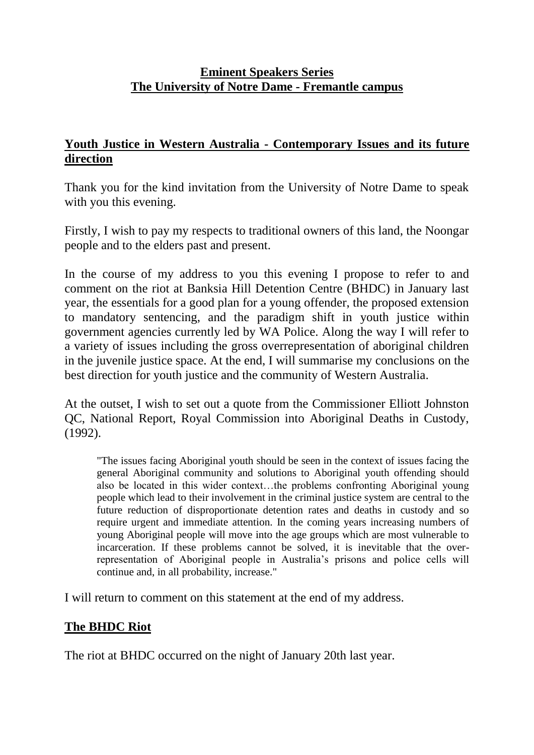# **Eminent Speakers Series The University of Notre Dame - Fremantle campus**

## **Youth Justice in Western Australia - Contemporary Issues and its future direction**

Thank you for the kind invitation from the University of Notre Dame to speak with you this evening.

Firstly, I wish to pay my respects to traditional owners of this land, the Noongar people and to the elders past and present.

In the course of my address to you this evening I propose to refer to and comment on the riot at Banksia Hill Detention Centre (BHDC) in January last year, the essentials for a good plan for a young offender, the proposed extension to mandatory sentencing, and the paradigm shift in youth justice within government agencies currently led by WA Police. Along the way I will refer to a variety of issues including the gross overrepresentation of aboriginal children in the juvenile justice space. At the end, I will summarise my conclusions on the best direction for youth justice and the community of Western Australia.

At the outset, I wish to set out a quote from the Commissioner Elliott Johnston QC, National Report, Royal Commission into Aboriginal Deaths in Custody, (1992).

"The issues facing Aboriginal youth should be seen in the context of issues facing the general Aboriginal community and solutions to Aboriginal youth offending should also be located in this wider context…the problems confronting Aboriginal young people which lead to their involvement in the criminal justice system are central to the future reduction of disproportionate detention rates and deaths in custody and so require urgent and immediate attention. In the coming years increasing numbers of young Aboriginal people will move into the age groups which are most vulnerable to incarceration. If these problems cannot be solved, it is inevitable that the overrepresentation of Aboriginal people in Australia's prisons and police cells will continue and, in all probability, increase."

I will return to comment on this statement at the end of my address.

# **The BHDC Riot**

The riot at BHDC occurred on the night of January 20th last year.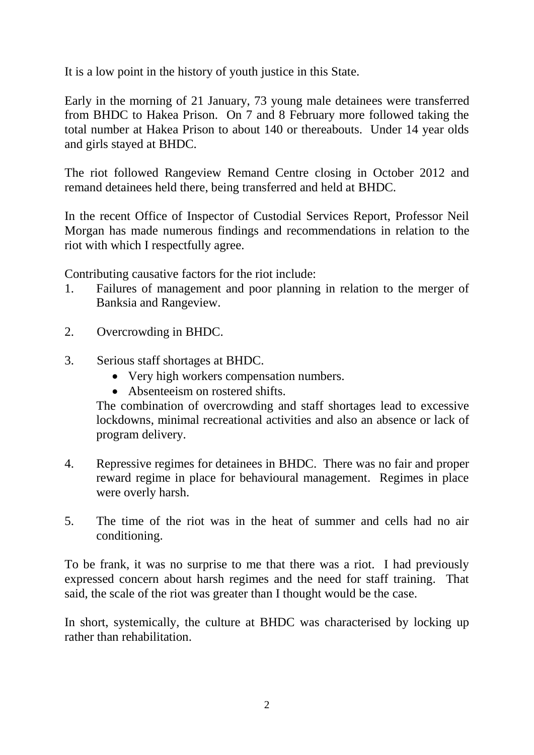It is a low point in the history of youth justice in this State.

Early in the morning of 21 January, 73 young male detainees were transferred from BHDC to Hakea Prison. On 7 and 8 February more followed taking the total number at Hakea Prison to about 140 or thereabouts. Under 14 year olds and girls stayed at BHDC.

The riot followed Rangeview Remand Centre closing in October 2012 and remand detainees held there, being transferred and held at BHDC.

In the recent Office of Inspector of Custodial Services Report, Professor Neil Morgan has made numerous findings and recommendations in relation to the riot with which I respectfully agree.

Contributing causative factors for the riot include:

- 1. Failures of management and poor planning in relation to the merger of Banksia and Rangeview.
- 2. Overcrowding in BHDC.
- 3. Serious staff shortages at BHDC.
	- Very high workers compensation numbers.
	- Absenteeism on rostered shifts.

The combination of overcrowding and staff shortages lead to excessive lockdowns, minimal recreational activities and also an absence or lack of program delivery.

- 4. Repressive regimes for detainees in BHDC. There was no fair and proper reward regime in place for behavioural management. Regimes in place were overly harsh.
- 5. The time of the riot was in the heat of summer and cells had no air conditioning.

To be frank, it was no surprise to me that there was a riot. I had previously expressed concern about harsh regimes and the need for staff training. That said, the scale of the riot was greater than I thought would be the case.

In short, systemically, the culture at BHDC was characterised by locking up rather than rehabilitation.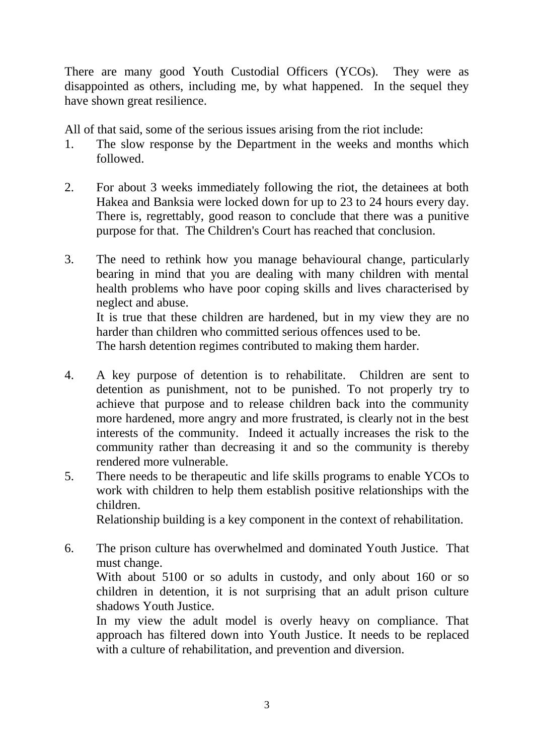There are many good Youth Custodial Officers (YCOs). They were as disappointed as others, including me, by what happened. In the sequel they have shown great resilience.

All of that said, some of the serious issues arising from the riot include:

- 1. The slow response by the Department in the weeks and months which followed.
- 2. For about 3 weeks immediately following the riot, the detainees at both Hakea and Banksia were locked down for up to 23 to 24 hours every day. There is, regrettably, good reason to conclude that there was a punitive purpose for that. The Children's Court has reached that conclusion.
- 3. The need to rethink how you manage behavioural change, particularly bearing in mind that you are dealing with many children with mental health problems who have poor coping skills and lives characterised by neglect and abuse. It is true that these children are hardened, but in my view they are no harder than children who committed serious offences used to be.

The harsh detention regimes contributed to making them harder.

- 4. A key purpose of detention is to rehabilitate. Children are sent to detention as punishment, not to be punished. To not properly try to achieve that purpose and to release children back into the community more hardened, more angry and more frustrated, is clearly not in the best interests of the community. Indeed it actually increases the risk to the community rather than decreasing it and so the community is thereby rendered more vulnerable.
- 5. There needs to be therapeutic and life skills programs to enable YCOs to work with children to help them establish positive relationships with the children.

Relationship building is a key component in the context of rehabilitation.

6. The prison culture has overwhelmed and dominated Youth Justice. That must change. With about 5100 or so adults in custody, and only about 160 or so

children in detention, it is not surprising that an adult prison culture shadows Youth Justice.

In my view the adult model is overly heavy on compliance. That approach has filtered down into Youth Justice. It needs to be replaced with a culture of rehabilitation, and prevention and diversion.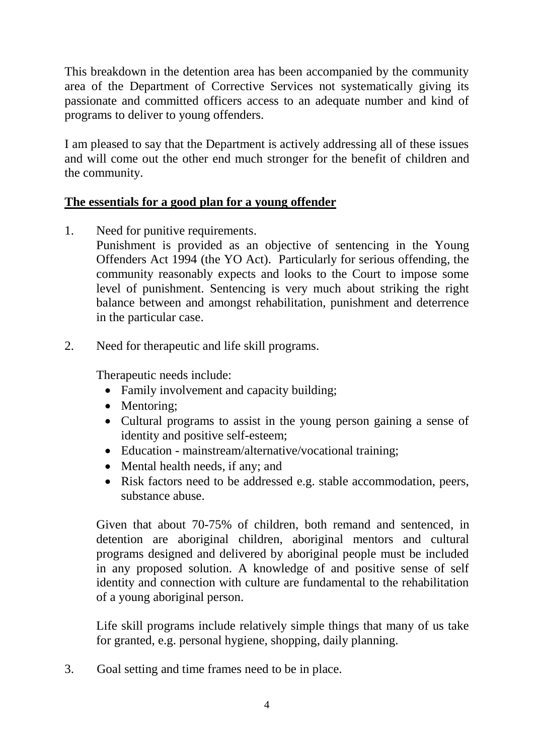This breakdown in the detention area has been accompanied by the community area of the Department of Corrective Services not systematically giving its passionate and committed officers access to an adequate number and kind of programs to deliver to young offenders.

I am pleased to say that the Department is actively addressing all of these issues and will come out the other end much stronger for the benefit of children and the community.

## **The essentials for a good plan for a young offender**

1. Need for punitive requirements.

Punishment is provided as an objective of sentencing in the Young Offenders Act 1994 (the YO Act). Particularly for serious offending, the community reasonably expects and looks to the Court to impose some level of punishment. Sentencing is very much about striking the right balance between and amongst rehabilitation, punishment and deterrence in the particular case.

2. Need for therapeutic and life skill programs.

Therapeutic needs include:

- Family involvement and capacity building;
- Mentoring;
- Cultural programs to assist in the young person gaining a sense of identity and positive self-esteem;
- Education mainstream/alternative/vocational training;
- Mental health needs, if any; and
- Risk factors need to be addressed e.g. stable accommodation, peers, substance abuse.

Given that about 70-75% of children, both remand and sentenced, in detention are aboriginal children, aboriginal mentors and cultural programs designed and delivered by aboriginal people must be included in any proposed solution. A knowledge of and positive sense of self identity and connection with culture are fundamental to the rehabilitation of a young aboriginal person.

Life skill programs include relatively simple things that many of us take for granted, e.g. personal hygiene, shopping, daily planning.

3. Goal setting and time frames need to be in place.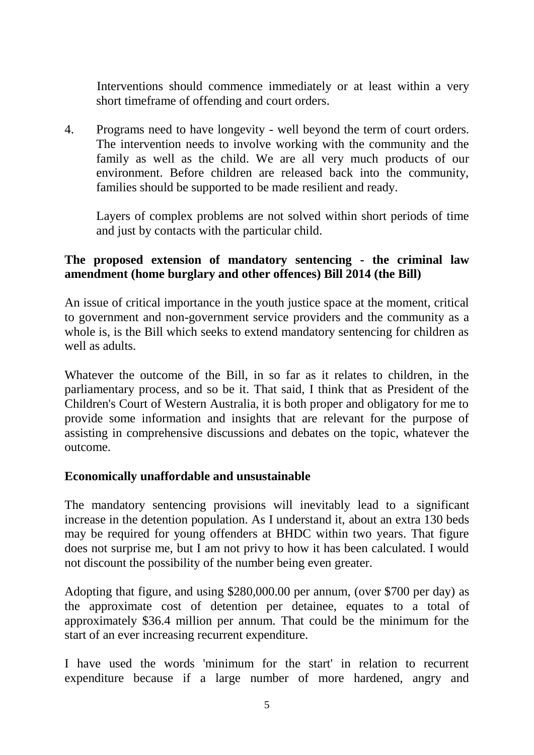Interventions should commence immediately or at least within a very short timeframe of offending and court orders.

4. Programs need to have longevity - well beyond the term of court orders. The intervention needs to involve working with the community and the family as well as the child. We are all very much products of our environment. Before children are released back into the community, families should be supported to be made resilient and ready.

Layers of complex problems are not solved within short periods of time and just by contacts with the particular child.

### **The proposed extension of mandatory sentencing - the criminal law amendment (home burglary and other offences) Bill 2014 (the Bill)**

An issue of critical importance in the youth justice space at the moment, critical to government and non-government service providers and the community as a whole is, is the Bill which seeks to extend mandatory sentencing for children as well as adults.

Whatever the outcome of the Bill, in so far as it relates to children, in the parliamentary process, and so be it. That said, I think that as President of the Children's Court of Western Australia, it is both proper and obligatory for me to provide some information and insights that are relevant for the purpose of assisting in comprehensive discussions and debates on the topic, whatever the outcome.

### **Economically unaffordable and unsustainable**

The mandatory sentencing provisions will inevitably lead to a significant increase in the detention population. As I understand it, about an extra 130 beds may be required for young offenders at BHDC within two years. That figure does not surprise me, but I am not privy to how it has been calculated. I would not discount the possibility of the number being even greater.

Adopting that figure, and using \$280,000.00 per annum, (over \$700 per day) as the approximate cost of detention per detainee, equates to a total of approximately \$36.4 million per annum. That could be the minimum for the start of an ever increasing recurrent expenditure.

I have used the words 'minimum for the start' in relation to recurrent expenditure because if a large number of more hardened, angry and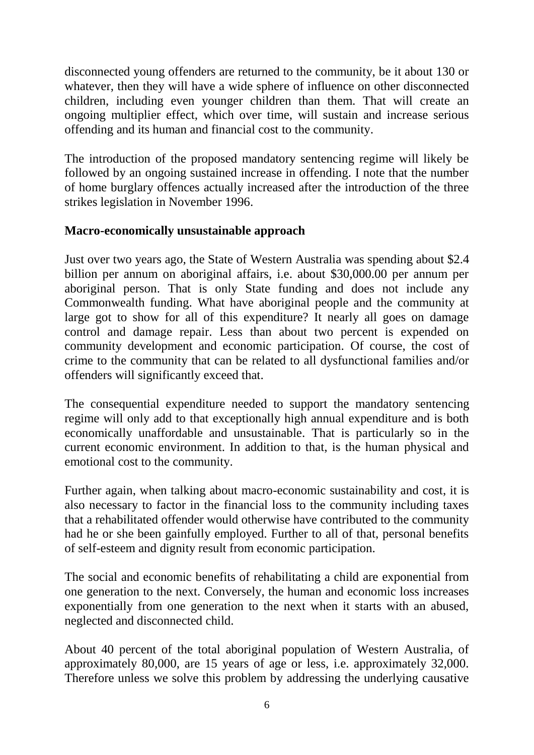disconnected young offenders are returned to the community, be it about 130 or whatever, then they will have a wide sphere of influence on other disconnected children, including even younger children than them. That will create an ongoing multiplier effect, which over time, will sustain and increase serious offending and its human and financial cost to the community.

The introduction of the proposed mandatory sentencing regime will likely be followed by an ongoing sustained increase in offending. I note that the number of home burglary offences actually increased after the introduction of the three strikes legislation in November 1996.

## **Macro-economically unsustainable approach**

Just over two years ago, the State of Western Australia was spending about \$2.4 billion per annum on aboriginal affairs, i.e. about \$30,000.00 per annum per aboriginal person. That is only State funding and does not include any Commonwealth funding. What have aboriginal people and the community at large got to show for all of this expenditure? It nearly all goes on damage control and damage repair. Less than about two percent is expended on community development and economic participation. Of course, the cost of crime to the community that can be related to all dysfunctional families and/or offenders will significantly exceed that.

The consequential expenditure needed to support the mandatory sentencing regime will only add to that exceptionally high annual expenditure and is both economically unaffordable and unsustainable. That is particularly so in the current economic environment. In addition to that, is the human physical and emotional cost to the community.

Further again, when talking about macro-economic sustainability and cost, it is also necessary to factor in the financial loss to the community including taxes that a rehabilitated offender would otherwise have contributed to the community had he or she been gainfully employed. Further to all of that, personal benefits of self-esteem and dignity result from economic participation.

The social and economic benefits of rehabilitating a child are exponential from one generation to the next. Conversely, the human and economic loss increases exponentially from one generation to the next when it starts with an abused, neglected and disconnected child.

About 40 percent of the total aboriginal population of Western Australia, of approximately 80,000, are 15 years of age or less, i.e. approximately 32,000. Therefore unless we solve this problem by addressing the underlying causative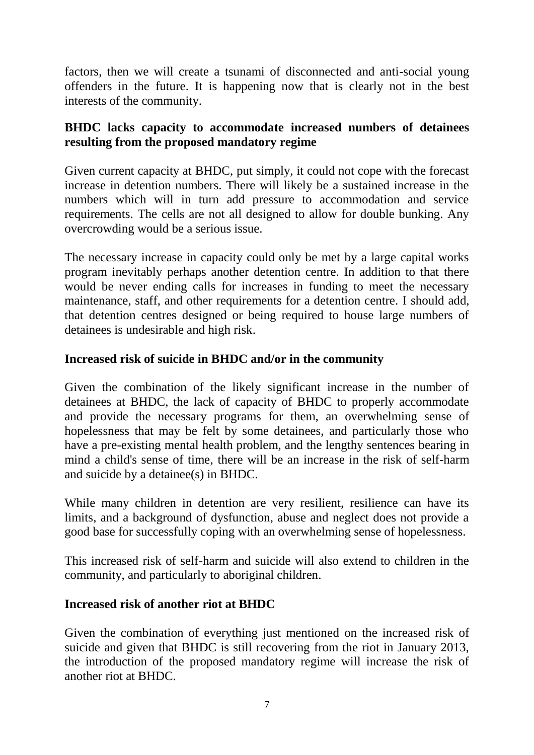factors, then we will create a tsunami of disconnected and anti-social young offenders in the future. It is happening now that is clearly not in the best interests of the community.

## **BHDC lacks capacity to accommodate increased numbers of detainees resulting from the proposed mandatory regime**

Given current capacity at BHDC, put simply, it could not cope with the forecast increase in detention numbers. There will likely be a sustained increase in the numbers which will in turn add pressure to accommodation and service requirements. The cells are not all designed to allow for double bunking. Any overcrowding would be a serious issue.

The necessary increase in capacity could only be met by a large capital works program inevitably perhaps another detention centre. In addition to that there would be never ending calls for increases in funding to meet the necessary maintenance, staff, and other requirements for a detention centre. I should add, that detention centres designed or being required to house large numbers of detainees is undesirable and high risk.

## **Increased risk of suicide in BHDC and/or in the community**

Given the combination of the likely significant increase in the number of detainees at BHDC, the lack of capacity of BHDC to properly accommodate and provide the necessary programs for them, an overwhelming sense of hopelessness that may be felt by some detainees, and particularly those who have a pre-existing mental health problem, and the lengthy sentences bearing in mind a child's sense of time, there will be an increase in the risk of self-harm and suicide by a detainee(s) in BHDC.

While many children in detention are very resilient, resilience can have its limits, and a background of dysfunction, abuse and neglect does not provide a good base for successfully coping with an overwhelming sense of hopelessness.

This increased risk of self-harm and suicide will also extend to children in the community, and particularly to aboriginal children.

# **Increased risk of another riot at BHDC**

Given the combination of everything just mentioned on the increased risk of suicide and given that BHDC is still recovering from the riot in January 2013, the introduction of the proposed mandatory regime will increase the risk of another riot at BHDC.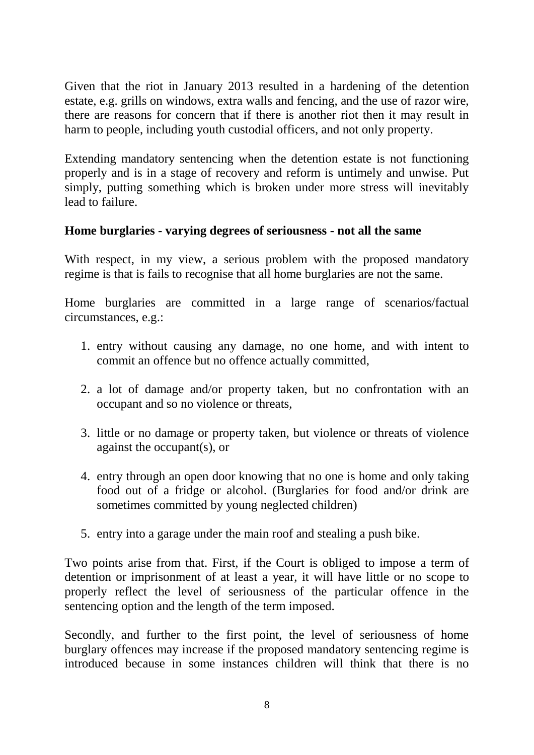Given that the riot in January 2013 resulted in a hardening of the detention estate, e.g. grills on windows, extra walls and fencing, and the use of razor wire, there are reasons for concern that if there is another riot then it may result in harm to people, including youth custodial officers, and not only property.

Extending mandatory sentencing when the detention estate is not functioning properly and is in a stage of recovery and reform is untimely and unwise. Put simply, putting something which is broken under more stress will inevitably lead to failure.

### **Home burglaries - varying degrees of seriousness - not all the same**

With respect, in my view, a serious problem with the proposed mandatory regime is that is fails to recognise that all home burglaries are not the same.

Home burglaries are committed in a large range of scenarios/factual circumstances, e.g.:

- 1. entry without causing any damage, no one home, and with intent to commit an offence but no offence actually committed,
- 2. a lot of damage and/or property taken, but no confrontation with an occupant and so no violence or threats,
- 3. little or no damage or property taken, but violence or threats of violence against the occupant(s), or
- 4. entry through an open door knowing that no one is home and only taking food out of a fridge or alcohol. (Burglaries for food and/or drink are sometimes committed by young neglected children)
- 5. entry into a garage under the main roof and stealing a push bike.

Two points arise from that. First, if the Court is obliged to impose a term of detention or imprisonment of at least a year, it will have little or no scope to properly reflect the level of seriousness of the particular offence in the sentencing option and the length of the term imposed.

Secondly, and further to the first point, the level of seriousness of home burglary offences may increase if the proposed mandatory sentencing regime is introduced because in some instances children will think that there is no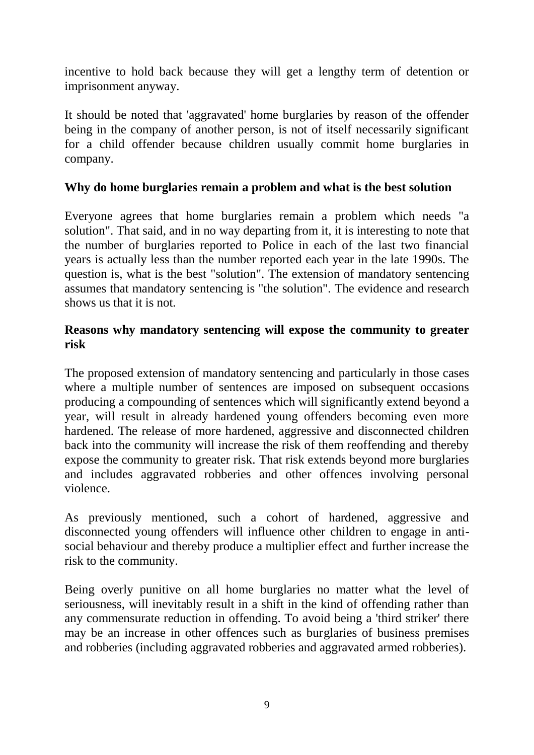incentive to hold back because they will get a lengthy term of detention or imprisonment anyway.

It should be noted that 'aggravated' home burglaries by reason of the offender being in the company of another person, is not of itself necessarily significant for a child offender because children usually commit home burglaries in company.

### **Why do home burglaries remain a problem and what is the best solution**

Everyone agrees that home burglaries remain a problem which needs "a solution". That said, and in no way departing from it, it is interesting to note that the number of burglaries reported to Police in each of the last two financial years is actually less than the number reported each year in the late 1990s. The question is, what is the best "solution". The extension of mandatory sentencing assumes that mandatory sentencing is "the solution". The evidence and research shows us that it is not.

### **Reasons why mandatory sentencing will expose the community to greater risk**

The proposed extension of mandatory sentencing and particularly in those cases where a multiple number of sentences are imposed on subsequent occasions producing a compounding of sentences which will significantly extend beyond a year, will result in already hardened young offenders becoming even more hardened. The release of more hardened, aggressive and disconnected children back into the community will increase the risk of them reoffending and thereby expose the community to greater risk. That risk extends beyond more burglaries and includes aggravated robberies and other offences involving personal violence.

As previously mentioned, such a cohort of hardened, aggressive and disconnected young offenders will influence other children to engage in antisocial behaviour and thereby produce a multiplier effect and further increase the risk to the community.

Being overly punitive on all home burglaries no matter what the level of seriousness, will inevitably result in a shift in the kind of offending rather than any commensurate reduction in offending. To avoid being a 'third striker' there may be an increase in other offences such as burglaries of business premises and robberies (including aggravated robberies and aggravated armed robberies).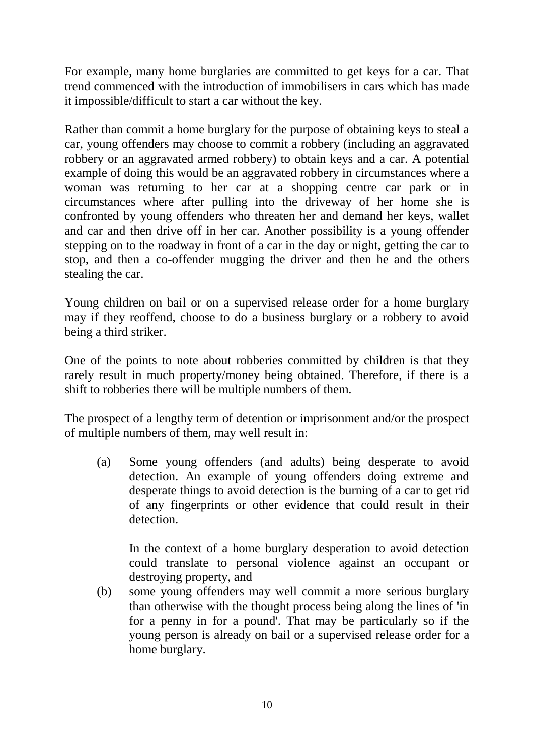For example, many home burglaries are committed to get keys for a car. That trend commenced with the introduction of immobilisers in cars which has made it impossible/difficult to start a car without the key.

Rather than commit a home burglary for the purpose of obtaining keys to steal a car, young offenders may choose to commit a robbery (including an aggravated robbery or an aggravated armed robbery) to obtain keys and a car. A potential example of doing this would be an aggravated robbery in circumstances where a woman was returning to her car at a shopping centre car park or in circumstances where after pulling into the driveway of her home she is confronted by young offenders who threaten her and demand her keys, wallet and car and then drive off in her car. Another possibility is a young offender stepping on to the roadway in front of a car in the day or night, getting the car to stop, and then a co-offender mugging the driver and then he and the others stealing the car.

Young children on bail or on a supervised release order for a home burglary may if they reoffend, choose to do a business burglary or a robbery to avoid being a third striker.

One of the points to note about robberies committed by children is that they rarely result in much property/money being obtained. Therefore, if there is a shift to robberies there will be multiple numbers of them.

The prospect of a lengthy term of detention or imprisonment and/or the prospect of multiple numbers of them, may well result in:

(a) Some young offenders (and adults) being desperate to avoid detection. An example of young offenders doing extreme and desperate things to avoid detection is the burning of a car to get rid of any fingerprints or other evidence that could result in their detection.

In the context of a home burglary desperation to avoid detection could translate to personal violence against an occupant or destroying property, and

(b) some young offenders may well commit a more serious burglary than otherwise with the thought process being along the lines of 'in for a penny in for a pound'. That may be particularly so if the young person is already on bail or a supervised release order for a home burglary.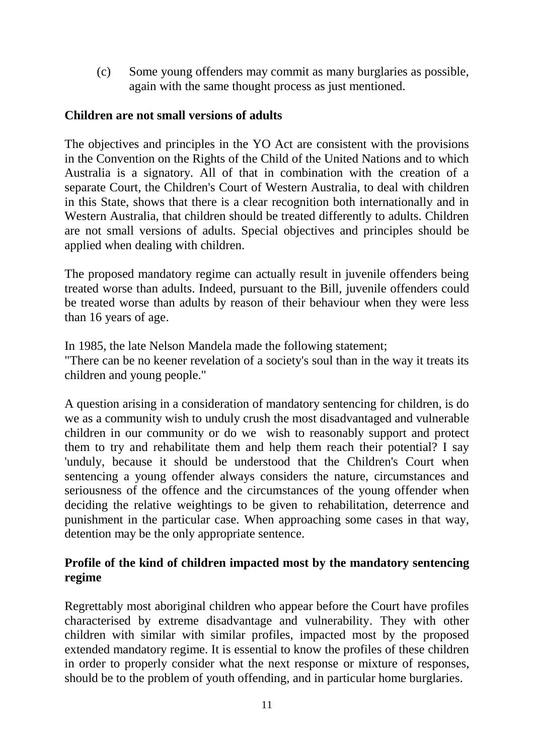(c) Some young offenders may commit as many burglaries as possible, again with the same thought process as just mentioned.

### **Children are not small versions of adults**

The objectives and principles in the YO Act are consistent with the provisions in the Convention on the Rights of the Child of the United Nations and to which Australia is a signatory. All of that in combination with the creation of a separate Court, the Children's Court of Western Australia, to deal with children in this State, shows that there is a clear recognition both internationally and in Western Australia, that children should be treated differently to adults. Children are not small versions of adults. Special objectives and principles should be applied when dealing with children.

The proposed mandatory regime can actually result in juvenile offenders being treated worse than adults. Indeed, pursuant to the Bill, juvenile offenders could be treated worse than adults by reason of their behaviour when they were less than 16 years of age.

In 1985, the late Nelson Mandela made the following statement; "There can be no keener revelation of a society's soul than in the way it treats its children and young people."

A question arising in a consideration of mandatory sentencing for children, is do we as a community wish to unduly crush the most disadvantaged and vulnerable children in our community or do we wish to reasonably support and protect them to try and rehabilitate them and help them reach their potential? I say 'unduly, because it should be understood that the Children's Court when sentencing a young offender always considers the nature, circumstances and seriousness of the offence and the circumstances of the young offender when deciding the relative weightings to be given to rehabilitation, deterrence and punishment in the particular case. When approaching some cases in that way, detention may be the only appropriate sentence.

### **Profile of the kind of children impacted most by the mandatory sentencing regime**

Regrettably most aboriginal children who appear before the Court have profiles characterised by extreme disadvantage and vulnerability. They with other children with similar with similar profiles, impacted most by the proposed extended mandatory regime. It is essential to know the profiles of these children in order to properly consider what the next response or mixture of responses, should be to the problem of youth offending, and in particular home burglaries.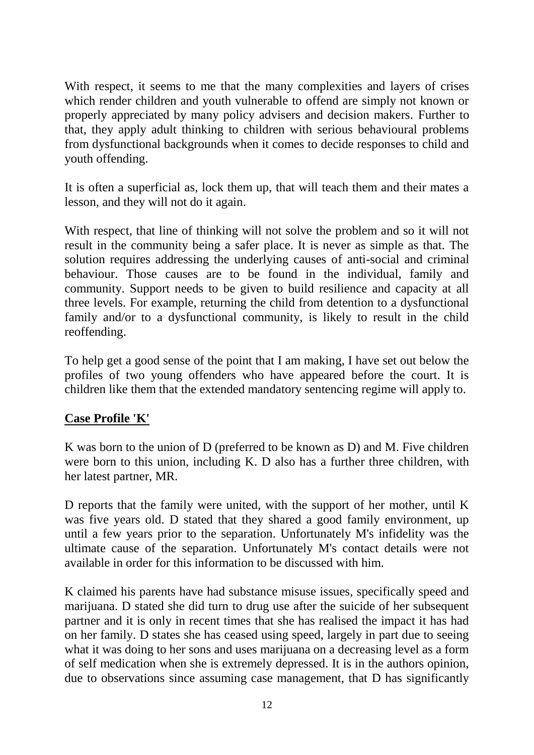With respect, it seems to me that the many complexities and layers of crises which render children and youth vulnerable to offend are simply not known or properly appreciated by many policy advisers and decision makers. Further to that, they apply adult thinking to children with serious behavioural problems from dysfunctional backgrounds when it comes to decide responses to child and youth offending.

It is often a superficial as, lock them up, that will teach them and their mates a lesson, and they will not do it again.

With respect, that line of thinking will not solve the problem and so it will not result in the community being a safer place. It is never as simple as that. The solution requires addressing the underlying causes of anti-social and criminal behaviour. Those causes are to be found in the individual, family and community. Support needs to be given to build resilience and capacity at all three levels. For example, returning the child from detention to a dysfunctional family and/or to a dysfunctional community, is likely to result in the child reoffending.

To help get a good sense of the point that I am making, I have set out below the profiles of two young offenders who have appeared before the court. It is children like them that the extended mandatory sentencing regime will apply to.

### **Case Profile 'K'**

K was born to the union of D (preferred to be known as D) and M. Five children were born to this union, including K. D also has a further three children, with her latest partner, MR.

D reports that the family were united, with the support of her mother, until K was five years old. D stated that they shared a good family environment, up until a few years prior to the separation. Unfortunately M's infidelity was the ultimate cause of the separation. Unfortunately M's contact details were not available in order for this information to be discussed with him.

K claimed his parents have had substance misuse issues, specifically speed and marijuana. D stated she did turn to drug use after the suicide of her subsequent partner and it is only in recent times that she has realised the impact it has had on her family. D states she has ceased using speed, largely in part due to seeing what it was doing to her sons and uses marijuana on a decreasing level as a form of self medication when she is extremely depressed. It is in the authors opinion, due to observations since assuming case management, that D has significantly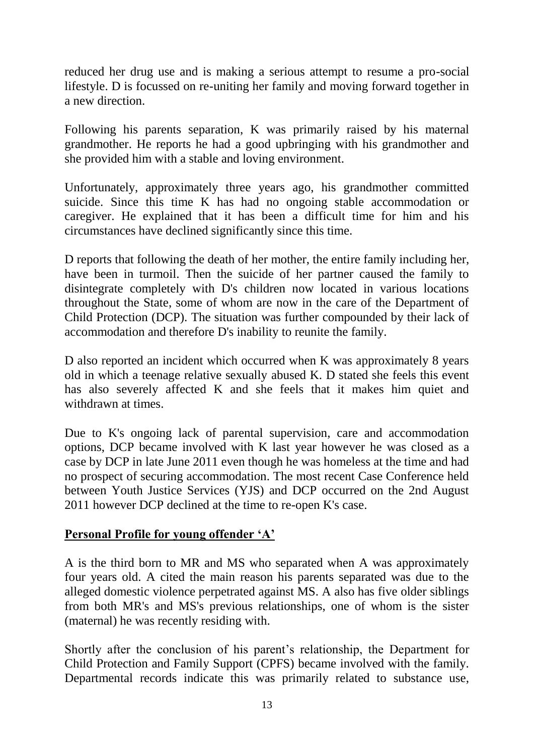reduced her drug use and is making a serious attempt to resume a pro-social lifestyle. D is focussed on re-uniting her family and moving forward together in a new direction.

Following his parents separation, K was primarily raised by his maternal grandmother. He reports he had a good upbringing with his grandmother and she provided him with a stable and loving environment.

Unfortunately, approximately three years ago, his grandmother committed suicide. Since this time K has had no ongoing stable accommodation or caregiver. He explained that it has been a difficult time for him and his circumstances have declined significantly since this time.

D reports that following the death of her mother, the entire family including her, have been in turmoil. Then the suicide of her partner caused the family to disintegrate completely with D's children now located in various locations throughout the State, some of whom are now in the care of the Department of Child Protection (DCP). The situation was further compounded by their lack of accommodation and therefore D's inability to reunite the family.

D also reported an incident which occurred when K was approximately 8 years old in which a teenage relative sexually abused K. D stated she feels this event has also severely affected K and she feels that it makes him quiet and withdrawn at times.

Due to K's ongoing lack of parental supervision, care and accommodation options, DCP became involved with K last year however he was closed as a case by DCP in late June 2011 even though he was homeless at the time and had no prospect of securing accommodation. The most recent Case Conference held between Youth Justice Services (YJS) and DCP occurred on the 2nd August 2011 however DCP declined at the time to re-open K's case.

# **Personal Profile for young offender 'A'**

A is the third born to MR and MS who separated when A was approximately four years old. A cited the main reason his parents separated was due to the alleged domestic violence perpetrated against MS. A also has five older siblings from both MR's and MS's previous relationships, one of whom is the sister (maternal) he was recently residing with.

Shortly after the conclusion of his parent's relationship, the Department for Child Protection and Family Support (CPFS) became involved with the family. Departmental records indicate this was primarily related to substance use,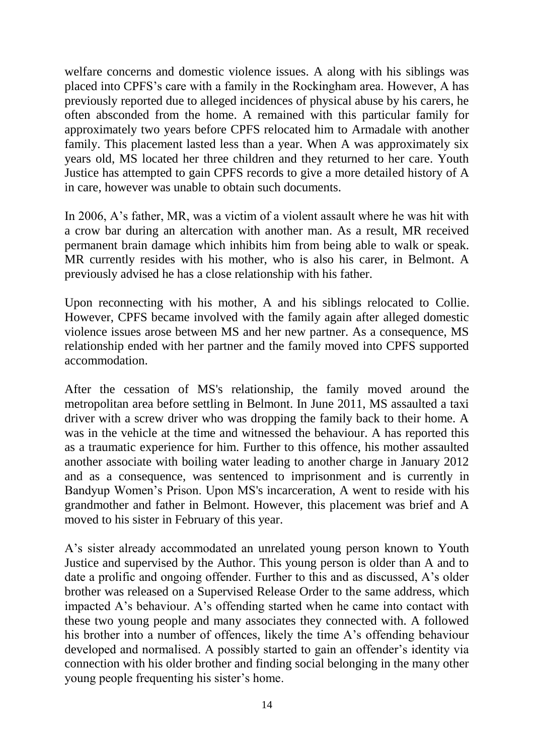welfare concerns and domestic violence issues. A along with his siblings was placed into CPFS's care with a family in the Rockingham area. However, A has previously reported due to alleged incidences of physical abuse by his carers, he often absconded from the home. A remained with this particular family for approximately two years before CPFS relocated him to Armadale with another family. This placement lasted less than a year. When A was approximately six years old, MS located her three children and they returned to her care. Youth Justice has attempted to gain CPFS records to give a more detailed history of A in care, however was unable to obtain such documents.

In 2006, A's father, MR, was a victim of a violent assault where he was hit with a crow bar during an altercation with another man. As a result, MR received permanent brain damage which inhibits him from being able to walk or speak. MR currently resides with his mother, who is also his carer, in Belmont. A previously advised he has a close relationship with his father.

Upon reconnecting with his mother, A and his siblings relocated to Collie. However, CPFS became involved with the family again after alleged domestic violence issues arose between MS and her new partner. As a consequence, MS relationship ended with her partner and the family moved into CPFS supported accommodation.

After the cessation of MS's relationship, the family moved around the metropolitan area before settling in Belmont. In June 2011, MS assaulted a taxi driver with a screw driver who was dropping the family back to their home. A was in the vehicle at the time and witnessed the behaviour. A has reported this as a traumatic experience for him. Further to this offence, his mother assaulted another associate with boiling water leading to another charge in January 2012 and as a consequence, was sentenced to imprisonment and is currently in Bandyup Women's Prison. Upon MS's incarceration, A went to reside with his grandmother and father in Belmont. However, this placement was brief and A moved to his sister in February of this year.

A's sister already accommodated an unrelated young person known to Youth Justice and supervised by the Author. This young person is older than A and to date a prolific and ongoing offender. Further to this and as discussed, A's older brother was released on a Supervised Release Order to the same address, which impacted A's behaviour. A's offending started when he came into contact with these two young people and many associates they connected with. A followed his brother into a number of offences, likely the time A's offending behaviour developed and normalised. A possibly started to gain an offender's identity via connection with his older brother and finding social belonging in the many other young people frequenting his sister's home.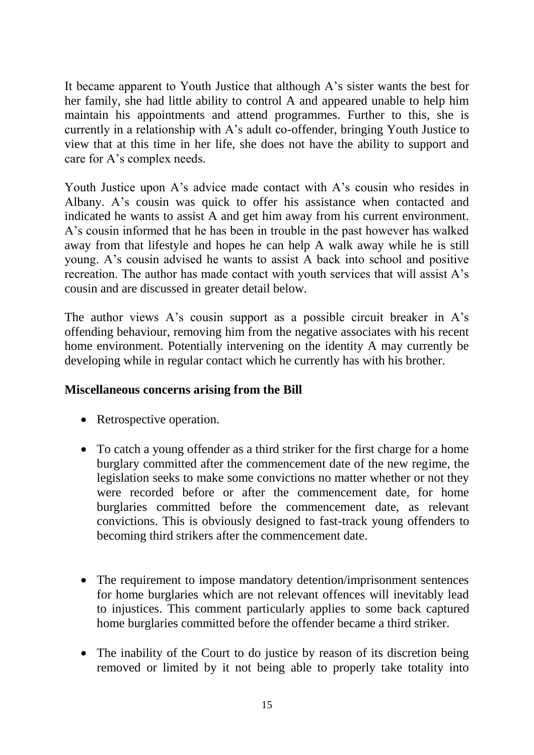It became apparent to Youth Justice that although A's sister wants the best for her family, she had little ability to control A and appeared unable to help him maintain his appointments and attend programmes. Further to this, she is currently in a relationship with A's adult co-offender, bringing Youth Justice to view that at this time in her life, she does not have the ability to support and care for A's complex needs.

Youth Justice upon A's advice made contact with A's cousin who resides in Albany. A's cousin was quick to offer his assistance when contacted and indicated he wants to assist A and get him away from his current environment. A's cousin informed that he has been in trouble in the past however has walked away from that lifestyle and hopes he can help A walk away while he is still young. A's cousin advised he wants to assist A back into school and positive recreation. The author has made contact with youth services that will assist A's cousin and are discussed in greater detail below.

The author views A's cousin support as a possible circuit breaker in A's offending behaviour, removing him from the negative associates with his recent home environment. Potentially intervening on the identity A may currently be developing while in regular contact which he currently has with his brother.

# **Miscellaneous concerns arising from the Bill**

- Retrospective operation.
- To catch a young offender as a third striker for the first charge for a home burglary committed after the commencement date of the new regime, the legislation seeks to make some convictions no matter whether or not they were recorded before or after the commencement date, for home burglaries committed before the commencement date, as relevant convictions. This is obviously designed to fast-track young offenders to becoming third strikers after the commencement date.
- The requirement to impose mandatory detention/imprisonment sentences for home burglaries which are not relevant offences will inevitably lead to injustices. This comment particularly applies to some back captured home burglaries committed before the offender became a third striker.
- The inability of the Court to do justice by reason of its discretion being removed or limited by it not being able to properly take totality into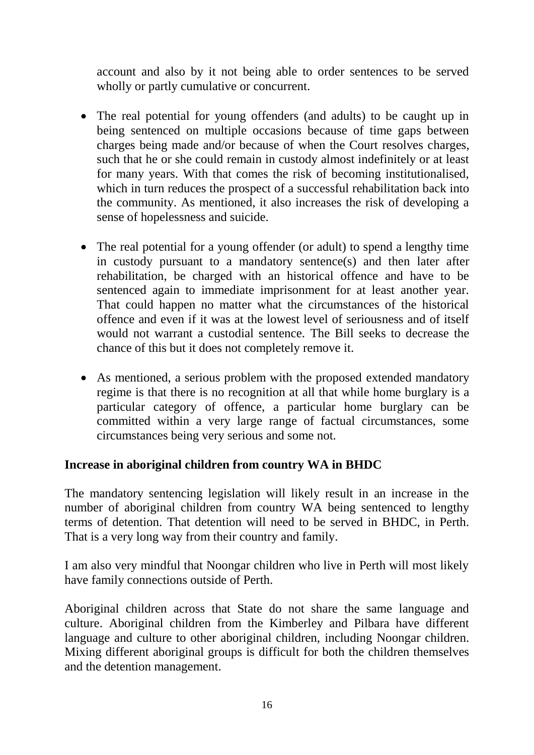account and also by it not being able to order sentences to be served wholly or partly cumulative or concurrent.

- The real potential for young offenders (and adults) to be caught up in being sentenced on multiple occasions because of time gaps between charges being made and/or because of when the Court resolves charges, such that he or she could remain in custody almost indefinitely or at least for many years. With that comes the risk of becoming institutionalised, which in turn reduces the prospect of a successful rehabilitation back into the community. As mentioned, it also increases the risk of developing a sense of hopelessness and suicide.
- The real potential for a young offender (or adult) to spend a lengthy time in custody pursuant to a mandatory sentence(s) and then later after rehabilitation, be charged with an historical offence and have to be sentenced again to immediate imprisonment for at least another year. That could happen no matter what the circumstances of the historical offence and even if it was at the lowest level of seriousness and of itself would not warrant a custodial sentence. The Bill seeks to decrease the chance of this but it does not completely remove it.
- As mentioned, a serious problem with the proposed extended mandatory regime is that there is no recognition at all that while home burglary is a particular category of offence, a particular home burglary can be committed within a very large range of factual circumstances, some circumstances being very serious and some not.

### **Increase in aboriginal children from country WA in BHDC**

The mandatory sentencing legislation will likely result in an increase in the number of aboriginal children from country WA being sentenced to lengthy terms of detention. That detention will need to be served in BHDC, in Perth. That is a very long way from their country and family.

I am also very mindful that Noongar children who live in Perth will most likely have family connections outside of Perth.

Aboriginal children across that State do not share the same language and culture. Aboriginal children from the Kimberley and Pilbara have different language and culture to other aboriginal children, including Noongar children. Mixing different aboriginal groups is difficult for both the children themselves and the detention management.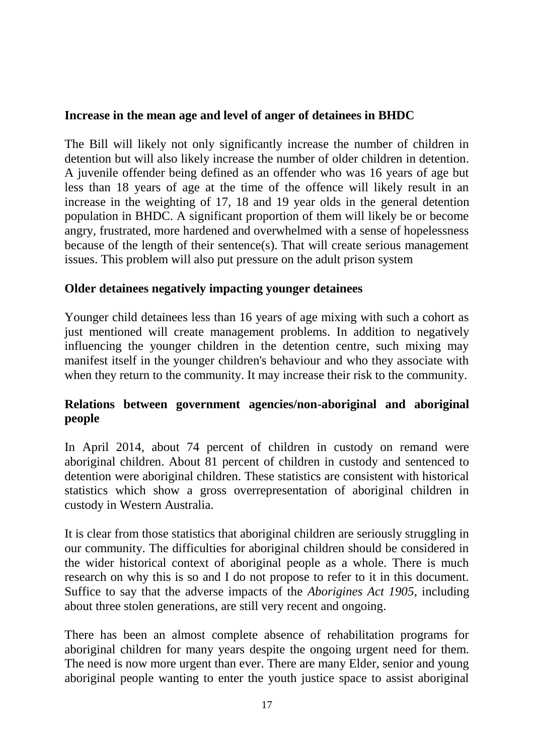### **Increase in the mean age and level of anger of detainees in BHDC**

The Bill will likely not only significantly increase the number of children in detention but will also likely increase the number of older children in detention. A juvenile offender being defined as an offender who was 16 years of age but less than 18 years of age at the time of the offence will likely result in an increase in the weighting of 17, 18 and 19 year olds in the general detention population in BHDC. A significant proportion of them will likely be or become angry, frustrated, more hardened and overwhelmed with a sense of hopelessness because of the length of their sentence(s). That will create serious management issues. This problem will also put pressure on the adult prison system

### **Older detainees negatively impacting younger detainees**

Younger child detainees less than 16 years of age mixing with such a cohort as just mentioned will create management problems. In addition to negatively influencing the younger children in the detention centre, such mixing may manifest itself in the younger children's behaviour and who they associate with when they return to the community. It may increase their risk to the community.

# **Relations between government agencies/non-aboriginal and aboriginal people**

In April 2014, about 74 percent of children in custody on remand were aboriginal children. About 81 percent of children in custody and sentenced to detention were aboriginal children. These statistics are consistent with historical statistics which show a gross overrepresentation of aboriginal children in custody in Western Australia.

It is clear from those statistics that aboriginal children are seriously struggling in our community. The difficulties for aboriginal children should be considered in the wider historical context of aboriginal people as a whole. There is much research on why this is so and I do not propose to refer to it in this document. Suffice to say that the adverse impacts of the *Aborigines Act 1905*, including about three stolen generations, are still very recent and ongoing.

There has been an almost complete absence of rehabilitation programs for aboriginal children for many years despite the ongoing urgent need for them. The need is now more urgent than ever. There are many Elder, senior and young aboriginal people wanting to enter the youth justice space to assist aboriginal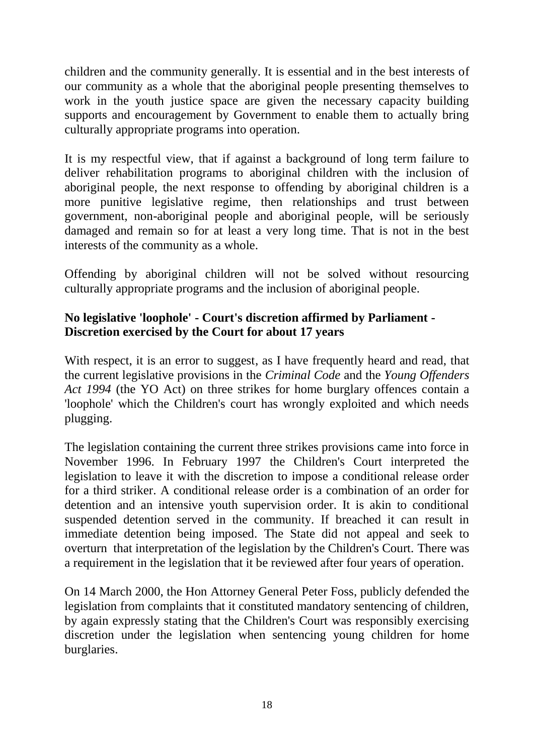children and the community generally. It is essential and in the best interests of our community as a whole that the aboriginal people presenting themselves to work in the youth justice space are given the necessary capacity building supports and encouragement by Government to enable them to actually bring culturally appropriate programs into operation.

It is my respectful view, that if against a background of long term failure to deliver rehabilitation programs to aboriginal children with the inclusion of aboriginal people, the next response to offending by aboriginal children is a more punitive legislative regime, then relationships and trust between government, non-aboriginal people and aboriginal people, will be seriously damaged and remain so for at least a very long time. That is not in the best interests of the community as a whole.

Offending by aboriginal children will not be solved without resourcing culturally appropriate programs and the inclusion of aboriginal people.

# **No legislative 'loophole' - Court's discretion affirmed by Parliament - Discretion exercised by the Court for about 17 years**

With respect, it is an error to suggest, as I have frequently heard and read, that the current legislative provisions in the *Criminal Code* and the *Young Offenders Act 1994* (the YO Act) on three strikes for home burglary offences contain a 'loophole' which the Children's court has wrongly exploited and which needs plugging.

The legislation containing the current three strikes provisions came into force in November 1996. In February 1997 the Children's Court interpreted the legislation to leave it with the discretion to impose a conditional release order for a third striker. A conditional release order is a combination of an order for detention and an intensive youth supervision order. It is akin to conditional suspended detention served in the community. If breached it can result in immediate detention being imposed. The State did not appeal and seek to overturn that interpretation of the legislation by the Children's Court. There was a requirement in the legislation that it be reviewed after four years of operation.

On 14 March 2000, the Hon Attorney General Peter Foss, publicly defended the legislation from complaints that it constituted mandatory sentencing of children, by again expressly stating that the Children's Court was responsibly exercising discretion under the legislation when sentencing young children for home burglaries.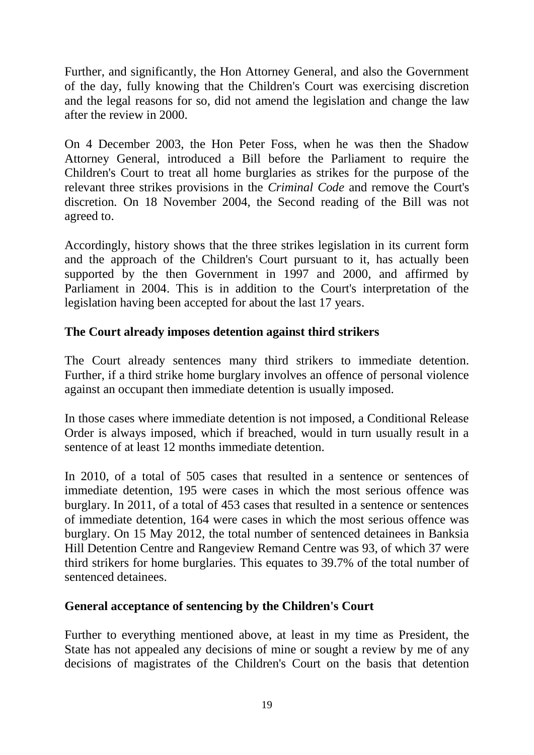Further, and significantly, the Hon Attorney General, and also the Government of the day, fully knowing that the Children's Court was exercising discretion and the legal reasons for so, did not amend the legislation and change the law after the review in 2000.

On 4 December 2003, the Hon Peter Foss, when he was then the Shadow Attorney General, introduced a Bill before the Parliament to require the Children's Court to treat all home burglaries as strikes for the purpose of the relevant three strikes provisions in the *Criminal Code* and remove the Court's discretion*.* On 18 November 2004, the Second reading of the Bill was not agreed to.

Accordingly, history shows that the three strikes legislation in its current form and the approach of the Children's Court pursuant to it, has actually been supported by the then Government in 1997 and 2000, and affirmed by Parliament in 2004. This is in addition to the Court's interpretation of the legislation having been accepted for about the last 17 years.

# **The Court already imposes detention against third strikers**

The Court already sentences many third strikers to immediate detention. Further, if a third strike home burglary involves an offence of personal violence against an occupant then immediate detention is usually imposed.

In those cases where immediate detention is not imposed, a Conditional Release Order is always imposed, which if breached, would in turn usually result in a sentence of at least 12 months immediate detention.

In 2010, of a total of 505 cases that resulted in a sentence or sentences of immediate detention, 195 were cases in which the most serious offence was burglary. In 2011, of a total of 453 cases that resulted in a sentence or sentences of immediate detention, 164 were cases in which the most serious offence was burglary. On 15 May 2012, the total number of sentenced detainees in Banksia Hill Detention Centre and Rangeview Remand Centre was 93, of which 37 were third strikers for home burglaries. This equates to 39.7% of the total number of sentenced detainees.

### **General acceptance of sentencing by the Children's Court**

Further to everything mentioned above, at least in my time as President, the State has not appealed any decisions of mine or sought a review by me of any decisions of magistrates of the Children's Court on the basis that detention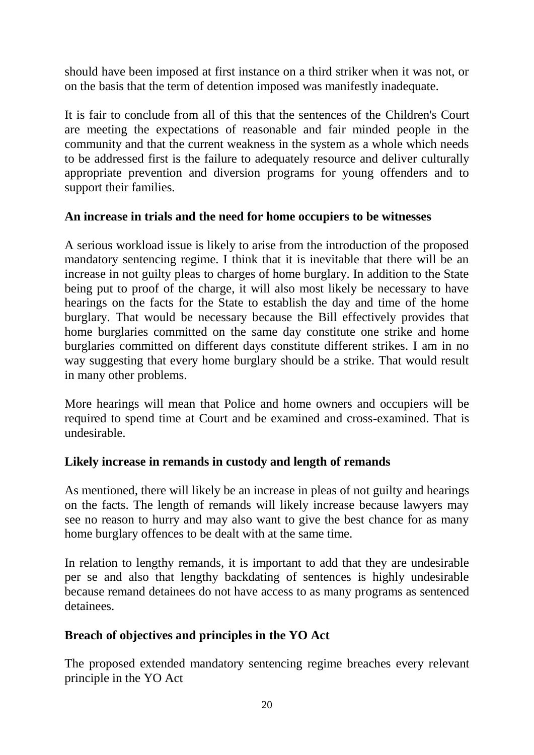should have been imposed at first instance on a third striker when it was not, or on the basis that the term of detention imposed was manifestly inadequate.

It is fair to conclude from all of this that the sentences of the Children's Court are meeting the expectations of reasonable and fair minded people in the community and that the current weakness in the system as a whole which needs to be addressed first is the failure to adequately resource and deliver culturally appropriate prevention and diversion programs for young offenders and to support their families.

## **An increase in trials and the need for home occupiers to be witnesses**

A serious workload issue is likely to arise from the introduction of the proposed mandatory sentencing regime. I think that it is inevitable that there will be an increase in not guilty pleas to charges of home burglary. In addition to the State being put to proof of the charge, it will also most likely be necessary to have hearings on the facts for the State to establish the day and time of the home burglary. That would be necessary because the Bill effectively provides that home burglaries committed on the same day constitute one strike and home burglaries committed on different days constitute different strikes. I am in no way suggesting that every home burglary should be a strike. That would result in many other problems.

More hearings will mean that Police and home owners and occupiers will be required to spend time at Court and be examined and cross-examined. That is undesirable.

# **Likely increase in remands in custody and length of remands**

As mentioned, there will likely be an increase in pleas of not guilty and hearings on the facts. The length of remands will likely increase because lawyers may see no reason to hurry and may also want to give the best chance for as many home burglary offences to be dealt with at the same time.

In relation to lengthy remands, it is important to add that they are undesirable per se and also that lengthy backdating of sentences is highly undesirable because remand detainees do not have access to as many programs as sentenced detainees.

# **Breach of objectives and principles in the YO Act**

The proposed extended mandatory sentencing regime breaches every relevant principle in the YO Act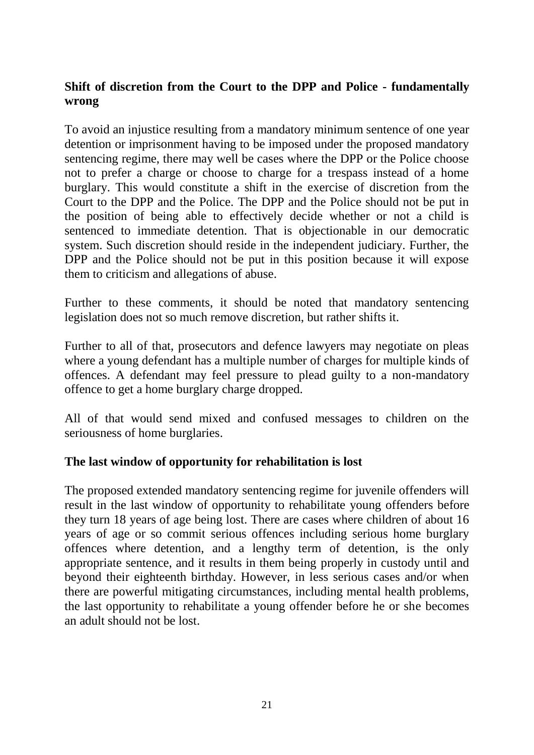# **Shift of discretion from the Court to the DPP and Police - fundamentally wrong**

To avoid an injustice resulting from a mandatory minimum sentence of one year detention or imprisonment having to be imposed under the proposed mandatory sentencing regime, there may well be cases where the DPP or the Police choose not to prefer a charge or choose to charge for a trespass instead of a home burglary. This would constitute a shift in the exercise of discretion from the Court to the DPP and the Police. The DPP and the Police should not be put in the position of being able to effectively decide whether or not a child is sentenced to immediate detention. That is objectionable in our democratic system. Such discretion should reside in the independent judiciary. Further, the DPP and the Police should not be put in this position because it will expose them to criticism and allegations of abuse.

Further to these comments, it should be noted that mandatory sentencing legislation does not so much remove discretion, but rather shifts it.

Further to all of that, prosecutors and defence lawyers may negotiate on pleas where a young defendant has a multiple number of charges for multiple kinds of offences. A defendant may feel pressure to plead guilty to a non-mandatory offence to get a home burglary charge dropped.

All of that would send mixed and confused messages to children on the seriousness of home burglaries.

### **The last window of opportunity for rehabilitation is lost**

The proposed extended mandatory sentencing regime for juvenile offenders will result in the last window of opportunity to rehabilitate young offenders before they turn 18 years of age being lost. There are cases where children of about 16 years of age or so commit serious offences including serious home burglary offences where detention, and a lengthy term of detention, is the only appropriate sentence, and it results in them being properly in custody until and beyond their eighteenth birthday. However, in less serious cases and/or when there are powerful mitigating circumstances, including mental health problems, the last opportunity to rehabilitate a young offender before he or she becomes an adult should not be lost.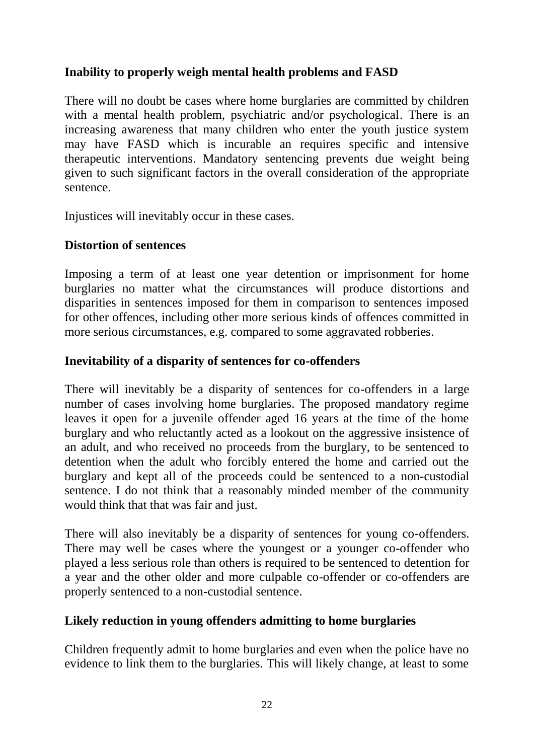## **Inability to properly weigh mental health problems and FASD**

There will no doubt be cases where home burglaries are committed by children with a mental health problem, psychiatric and/or psychological. There is an increasing awareness that many children who enter the youth justice system may have FASD which is incurable an requires specific and intensive therapeutic interventions. Mandatory sentencing prevents due weight being given to such significant factors in the overall consideration of the appropriate sentence.

Injustices will inevitably occur in these cases.

### **Distortion of sentences**

Imposing a term of at least one year detention or imprisonment for home burglaries no matter what the circumstances will produce distortions and disparities in sentences imposed for them in comparison to sentences imposed for other offences, including other more serious kinds of offences committed in more serious circumstances, e.g. compared to some aggravated robberies.

### **Inevitability of a disparity of sentences for co-offenders**

There will inevitably be a disparity of sentences for co-offenders in a large number of cases involving home burglaries. The proposed mandatory regime leaves it open for a juvenile offender aged 16 years at the time of the home burglary and who reluctantly acted as a lookout on the aggressive insistence of an adult, and who received no proceeds from the burglary, to be sentenced to detention when the adult who forcibly entered the home and carried out the burglary and kept all of the proceeds could be sentenced to a non-custodial sentence. I do not think that a reasonably minded member of the community would think that that was fair and just.

There will also inevitably be a disparity of sentences for young co-offenders. There may well be cases where the youngest or a younger co-offender who played a less serious role than others is required to be sentenced to detention for a year and the other older and more culpable co-offender or co-offenders are properly sentenced to a non-custodial sentence.

### **Likely reduction in young offenders admitting to home burglaries**

Children frequently admit to home burglaries and even when the police have no evidence to link them to the burglaries. This will likely change, at least to some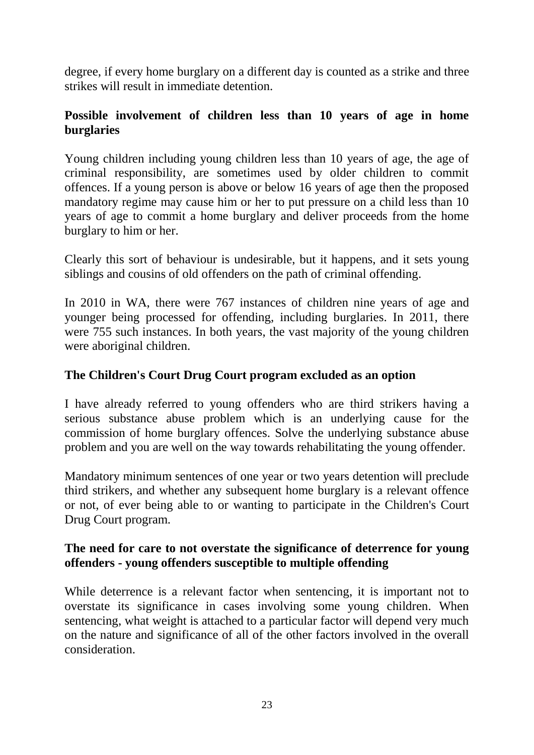degree, if every home burglary on a different day is counted as a strike and three strikes will result in immediate detention.

## **Possible involvement of children less than 10 years of age in home burglaries**

Young children including young children less than 10 years of age, the age of criminal responsibility, are sometimes used by older children to commit offences. If a young person is above or below 16 years of age then the proposed mandatory regime may cause him or her to put pressure on a child less than 10 years of age to commit a home burglary and deliver proceeds from the home burglary to him or her.

Clearly this sort of behaviour is undesirable, but it happens, and it sets young siblings and cousins of old offenders on the path of criminal offending.

In 2010 in WA, there were 767 instances of children nine years of age and younger being processed for offending, including burglaries. In 2011, there were 755 such instances. In both years, the vast majority of the young children were aboriginal children.

## **The Children's Court Drug Court program excluded as an option**

I have already referred to young offenders who are third strikers having a serious substance abuse problem which is an underlying cause for the commission of home burglary offences. Solve the underlying substance abuse problem and you are well on the way towards rehabilitating the young offender.

Mandatory minimum sentences of one year or two years detention will preclude third strikers, and whether any subsequent home burglary is a relevant offence or not, of ever being able to or wanting to participate in the Children's Court Drug Court program.

## **The need for care to not overstate the significance of deterrence for young offenders - young offenders susceptible to multiple offending**

While deterrence is a relevant factor when sentencing, it is important not to overstate its significance in cases involving some young children. When sentencing, what weight is attached to a particular factor will depend very much on the nature and significance of all of the other factors involved in the overall consideration.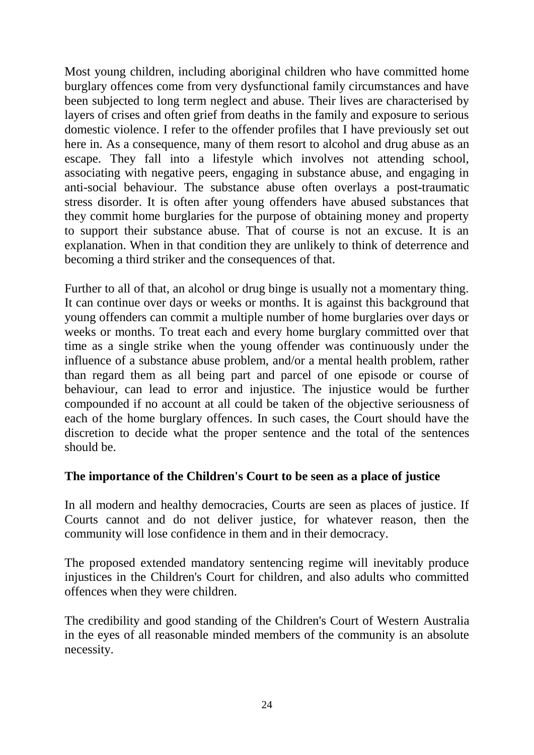Most young children, including aboriginal children who have committed home burglary offences come from very dysfunctional family circumstances and have been subjected to long term neglect and abuse. Their lives are characterised by layers of crises and often grief from deaths in the family and exposure to serious domestic violence. I refer to the offender profiles that I have previously set out here in. As a consequence, many of them resort to alcohol and drug abuse as an escape. They fall into a lifestyle which involves not attending school, associating with negative peers, engaging in substance abuse, and engaging in anti-social behaviour. The substance abuse often overlays a post-traumatic stress disorder. It is often after young offenders have abused substances that they commit home burglaries for the purpose of obtaining money and property to support their substance abuse. That of course is not an excuse. It is an explanation. When in that condition they are unlikely to think of deterrence and becoming a third striker and the consequences of that.

Further to all of that, an alcohol or drug binge is usually not a momentary thing. It can continue over days or weeks or months. It is against this background that young offenders can commit a multiple number of home burglaries over days or weeks or months. To treat each and every home burglary committed over that time as a single strike when the young offender was continuously under the influence of a substance abuse problem, and/or a mental health problem, rather than regard them as all being part and parcel of one episode or course of behaviour, can lead to error and injustice. The injustice would be further compounded if no account at all could be taken of the objective seriousness of each of the home burglary offences. In such cases, the Court should have the discretion to decide what the proper sentence and the total of the sentences should be.

### **The importance of the Children's Court to be seen as a place of justice**

In all modern and healthy democracies, Courts are seen as places of justice. If Courts cannot and do not deliver justice, for whatever reason, then the community will lose confidence in them and in their democracy.

The proposed extended mandatory sentencing regime will inevitably produce injustices in the Children's Court for children, and also adults who committed offences when they were children.

The credibility and good standing of the Children's Court of Western Australia in the eyes of all reasonable minded members of the community is an absolute necessity.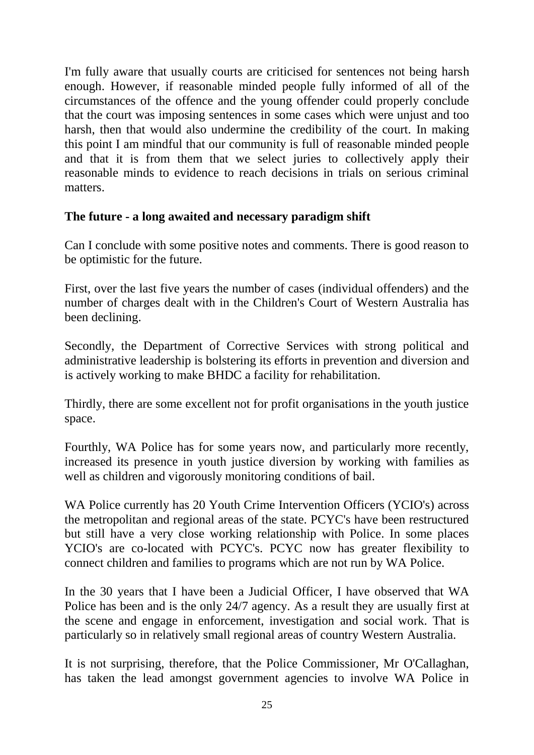I'm fully aware that usually courts are criticised for sentences not being harsh enough. However, if reasonable minded people fully informed of all of the circumstances of the offence and the young offender could properly conclude that the court was imposing sentences in some cases which were unjust and too harsh, then that would also undermine the credibility of the court. In making this point I am mindful that our community is full of reasonable minded people and that it is from them that we select juries to collectively apply their reasonable minds to evidence to reach decisions in trials on serious criminal matters.

## **The future - a long awaited and necessary paradigm shift**

Can I conclude with some positive notes and comments. There is good reason to be optimistic for the future.

First, over the last five years the number of cases (individual offenders) and the number of charges dealt with in the Children's Court of Western Australia has been declining.

Secondly, the Department of Corrective Services with strong political and administrative leadership is bolstering its efforts in prevention and diversion and is actively working to make BHDC a facility for rehabilitation.

Thirdly, there are some excellent not for profit organisations in the youth justice space.

Fourthly, WA Police has for some years now, and particularly more recently, increased its presence in youth justice diversion by working with families as well as children and vigorously monitoring conditions of bail.

WA Police currently has 20 Youth Crime Intervention Officers (YCIO's) across the metropolitan and regional areas of the state. PCYC's have been restructured but still have a very close working relationship with Police. In some places YCIO's are co-located with PCYC's. PCYC now has greater flexibility to connect children and families to programs which are not run by WA Police.

In the 30 years that I have been a Judicial Officer, I have observed that WA Police has been and is the only 24/7 agency. As a result they are usually first at the scene and engage in enforcement, investigation and social work. That is particularly so in relatively small regional areas of country Western Australia.

It is not surprising, therefore, that the Police Commissioner, Mr O'Callaghan, has taken the lead amongst government agencies to involve WA Police in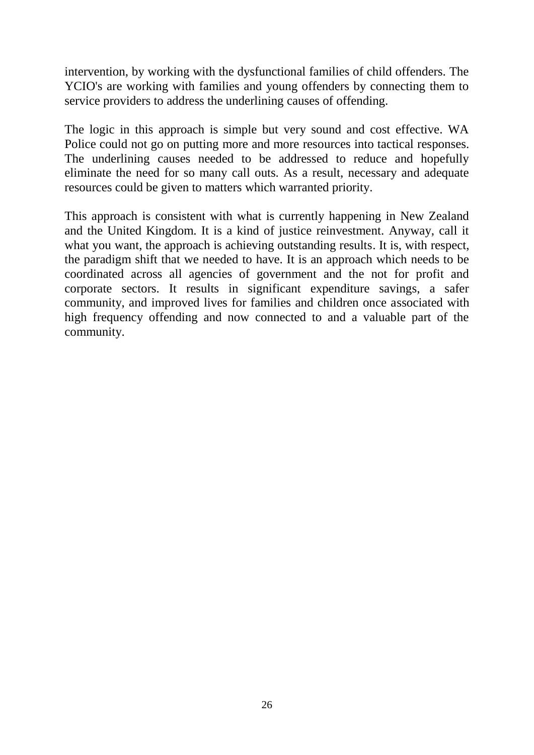intervention, by working with the dysfunctional families of child offenders. The YCIO's are working with families and young offenders by connecting them to service providers to address the underlining causes of offending.

The logic in this approach is simple but very sound and cost effective. WA Police could not go on putting more and more resources into tactical responses. The underlining causes needed to be addressed to reduce and hopefully eliminate the need for so many call outs. As a result, necessary and adequate resources could be given to matters which warranted priority.

This approach is consistent with what is currently happening in New Zealand and the United Kingdom. It is a kind of justice reinvestment. Anyway, call it what you want, the approach is achieving outstanding results. It is, with respect, the paradigm shift that we needed to have. It is an approach which needs to be coordinated across all agencies of government and the not for profit and corporate sectors. It results in significant expenditure savings, a safer community, and improved lives for families and children once associated with high frequency offending and now connected to and a valuable part of the community.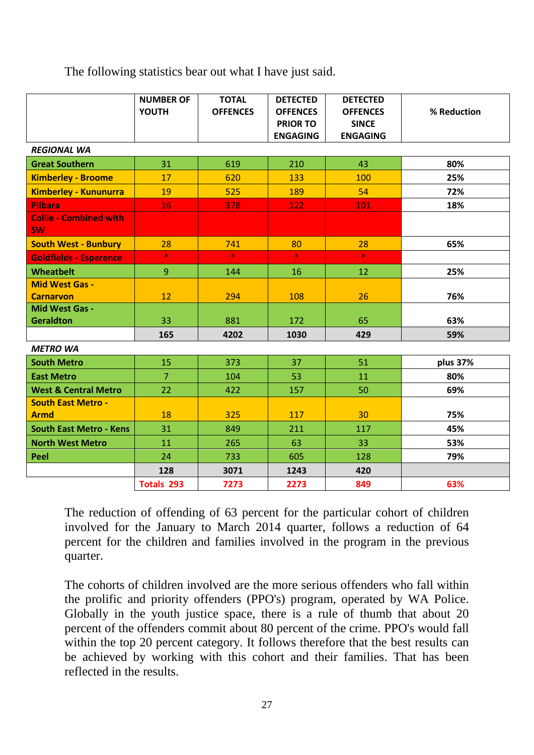The following statistics bear out what I have just said.

|                                            | <b>NUMBER OF</b><br><b>YOUTH</b> | <b>TOTAL</b><br><b>OFFENCES</b> | <b>DETECTED</b><br><b>OFFENCES</b><br><b>PRIOR TO</b><br><b>ENGAGING</b> | <b>DETECTED</b><br><b>OFFENCES</b><br><b>SINCE</b><br><b>ENGAGING</b> | % Reduction |
|--------------------------------------------|----------------------------------|---------------------------------|--------------------------------------------------------------------------|-----------------------------------------------------------------------|-------------|
| <b>REGIONAL WA</b>                         |                                  |                                 |                                                                          |                                                                       |             |
| <b>Great Southern</b>                      | 31                               | 619                             | 210                                                                      | 43                                                                    | 80%         |
| <b>Kimberley - Broome</b>                  | 17                               | 620                             | 133                                                                      | 100                                                                   | 25%         |
| <b>Kimberley - Kununurra</b>               | 19                               | 525                             | 189                                                                      | 54                                                                    | 72%         |
| <b>Pilbara</b>                             | 16                               | 378                             | 122                                                                      | 101                                                                   | 18%         |
| <b>Collie - Combined with</b><br><b>SW</b> |                                  |                                 |                                                                          |                                                                       |             |
| <b>South West - Bunbury</b>                | 28                               | 741                             | 80                                                                       | 28                                                                    | 65%         |
| <b>Goldfields - Esperence</b>              | $\star$                          | $\star$                         | $\star$                                                                  | $\star$                                                               |             |
| <b>Wheatbelt</b>                           | 9                                | 144                             | 16                                                                       | 12                                                                    | 25%         |
| <b>Mid West Gas -</b><br><b>Carnarvon</b>  | 12                               | 294                             | 108                                                                      | 26                                                                    | 76%         |
| Mid West Gas -<br><b>Geraldton</b>         | 33                               | 881                             | 172                                                                      | 65                                                                    | 63%         |
|                                            | 165                              | 4202                            | 1030                                                                     | 429                                                                   | 59%         |
| <b>METRO WA</b>                            |                                  |                                 |                                                                          |                                                                       |             |
| <b>South Metro</b>                         | 15                               | 373                             | 37                                                                       | 51                                                                    | plus 37%    |
| <b>East Metro</b>                          | $\overline{7}$                   | 104                             | 53                                                                       | 11                                                                    | 80%         |
| <b>West &amp; Central Metro</b>            | 22                               | 422                             | 157                                                                      | 50                                                                    | 69%         |
| <b>South East Metro -</b><br><b>Armd</b>   | 18                               | 325                             | 117                                                                      | 30                                                                    | 75%         |
| <b>South East Metro - Kens</b>             | 31                               | 849                             | 211                                                                      | 117                                                                   | 45%         |
| <b>North West Metro</b>                    | 11                               | 265                             | 63                                                                       | 33                                                                    | 53%         |
| Peel                                       | 24                               | 733                             | 605                                                                      | 128                                                                   | 79%         |
|                                            | 128                              | 3071                            | 1243                                                                     | 420                                                                   |             |
|                                            | <b>Totals 293</b>                | 7273                            | 2273                                                                     | 849                                                                   | 63%         |

The reduction of offending of 63 percent for the particular cohort of children involved for the January to March 2014 quarter, follows a reduction of 64 percent for the children and families involved in the program in the previous quarter.

The cohorts of children involved are the more serious offenders who fall within the prolific and priority offenders (PPO's) program, operated by WA Police. Globally in the youth justice space, there is a rule of thumb that about 20 percent of the offenders commit about 80 percent of the crime. PPO's would fall within the top 20 percent category. It follows therefore that the best results can be achieved by working with this cohort and their families. That has been reflected in the results.